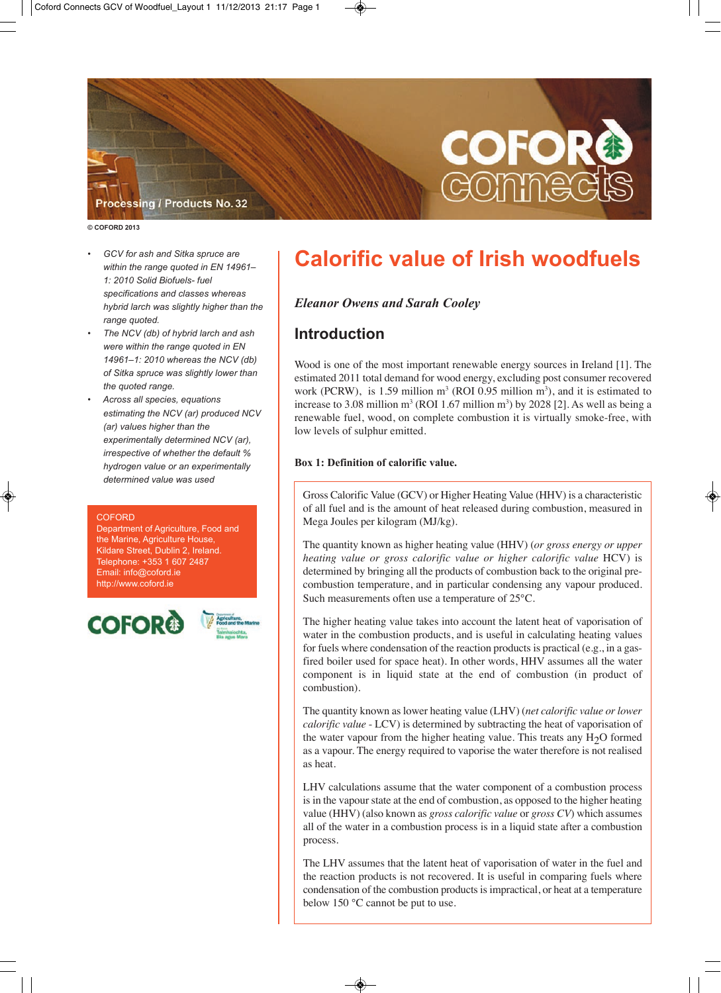

#### **© COFORD 2013**

- GCV for ash and Sitka spruce are within the range quoted in EN 14961-*1:2010SolidBiofuels-fuel specificationsandclasseswhereas* hybrid larch was slightly higher than the range quoted.
- *The NCV (db) of hybrid larch and ash were within the range quoted in EN 14961–1:2010whereastheNCV(db) ofSitkasprucewasslightlylowerthan* the quoted range.
- *Acrossallspecies,equations estimating the NCV (ar) produced NCV (ar)* values higher than the  $experiments$  *experimentally determined NCV (ar), irrespective of whether the default % hydrogen value or an experimentally* determined value was used

#### **COFORD**

partment of Agriculture, Food and the Marine, Agriculture House, Kildare Street, Dublin 2, Ireland. Telephone: +353 1 607 2487 Email: info@coford.ie http://www.coford.ie





# **Calorific value of Irish woodfuels**

# *Eleanor Owens and Sarah Cooley*

# **Introduction**

Wood is one of the most important renewable energy sources in Ireland [1]. The estimated 2011 total demand for wood energy, excluding post consumer recovered work (PCRW), is 1.59 million  $m^3$  (ROI 0.95 million  $m^3$ ), and it is estimated to increase to 3.08 million  $m^3$  (ROI 1.67 million  $m^3$ ) by 2028 [2]. As well as being a renewable fuel, wood, on complete combustion it is virtually smoke-free, with low levels of sulphur emitted.

# **Box 1: Definition of calorific value.**

◈

Gross Calorific Value (GCV) or Higher Heating Value (HHV) is a characteristic of all fuel and is the amount of heat released during combustion, measured in Mega Joules per kilogram (MJ/kg).

The quantity known as higher heating value (HHV) (*or gross energy or upper heating value or gross calorific value or higher calorific value* HCV) is determined by bringing all the products of combustion back to the original precombustion temperature, and in particular condensing any vapour produced. Such measurements often use a temperature of 25°C.

The higher heating value takes into account the latent heat of vaporisation of water in the combustion products, and is useful in calculating heating values for fuels where condensation of the reaction products is practical (e.g., in a gasfired boiler used for space heat). In other words, HHV assumes all the water component is in liquid state at the end of combustion (in product of combustion).

The quantity known as lower heating value (LHV) (*net calorific value or lower calorific value* - LCV) is determined by subtracting the heat of vaporisation of the water vapour from the higher heating value. This treats any  $H<sub>2</sub>O$  formed as a vapour. The energy required to vaporise the water therefore is not realised as heat.

LHV calculations assume that the water component of a combustion process is in the vapour state at the end of combustion, as opposed to the higher heating value (HHV) (also known as *gross calorific value* or *gross CV*) which assumes all of the water in a combustion process is in a liquid state after a combustion process.

The LHV assumes that the latent heat of vaporisation of water in the fuel and the reaction products is not recovered. It is useful in comparing fuels where condensation of the combustion products is impractical, or heat at a temperature below 150 °C cannot be put to use.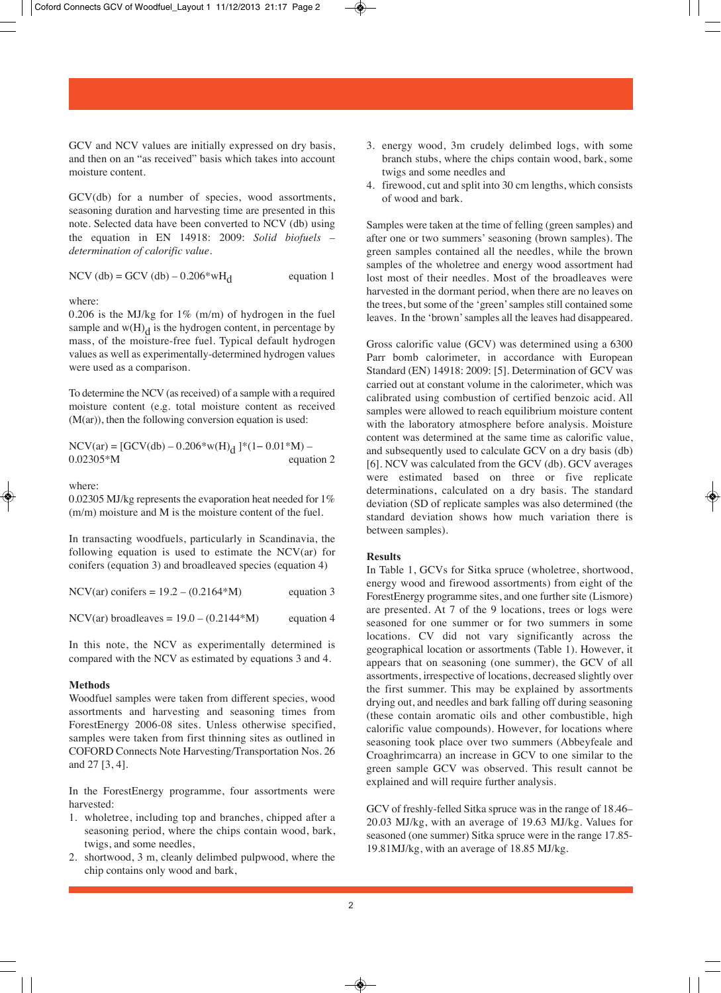GCV and NCV values are initially expressed on dry basis, and then on an "as received" basis which takes into account moisture content.

GCV(db) for a number of species, wood assortments, seasoning duration and harvesting time are presented in this note. Selected data have been converted to NCV (db) using the equation in EN 14918: 2009: *Solid biofuels – determination of calorific value*.

NCV (db) = GCV (db) –  $0.206*wH_d$  equation 1

where:

0.206 is the MJ/kg for  $1\%$  (m/m) of hydrogen in the fuel sample and  $w(H)<sub>d</sub>$  is the hydrogen content, in percentage by mass, of the moisture-free fuel. Typical default hydrogen values as well as experimentally-determined hydrogen values were used as a comparison.

To determine the NCV (as received) of a sample with a required moisture content (e.g. total moisture content as received  $(M(ar))$ , then the following conversion equation is used:

 $NCV(ar) = [GCV(db) - 0.206* w(H)<sub>d</sub>]*(1-0.01*M) - 0.02305*M$  equation 2  $0.02305*M$ 

### where:

0.02305 MJ/kg represents the evaporation heat needed for 1% (m/m) moisture and M is the moisture content of the fuel.

In transacting woodfuels, particularly in Scandinavia, the following equation is used to estimate the NCV(ar) for conifers (equation 3) and broadleaved species (equation 4)

| NCV(ar) conifers = $19.2 - (0.2164*M)$ | equation 3 |
|----------------------------------------|------------|
|----------------------------------------|------------|

 $NCV(ar)$  broadleaves =  $19.0 - (0.2144*M)$  equation 4

In this note, the NCV as experimentally determined is compared with the NCV as estimated by equations 3 and 4.

#### **Methods**

Woodfuel samples were taken from different species, wood assortments and harvesting and seasoning times from ForestEnergy 2006-08 sites. Unless otherwise specified, samples were taken from first thinning sites as outlined in COFORD Connects Note Harvesting/Transportation Nos. 26 and 27 [3, 4].

In the ForestEnergy programme, four assortments were harvested:

- 1. wholetree, including top and branches, chipped after a seasoning period, where the chips contain wood, bark, twigs, and some needles,
- 2. shortwood, 3 m, cleanly delimbed pulpwood, where the chip contains only wood and bark,
- 3. energy wood, 3m crudely delimbed logs, with some branch stubs, where the chips contain wood, bark, some twigs and some needles and
- 4. firewood, cut and split into 30 cm lengths, which consists of wood and bark.

Samples were taken at the time of felling (green samples) and after one or two summers' seasoning (brown samples). The green samples contained all the needles, while the brown samples of the wholetree and energy wood assortment had lost most of their needles. Most of the broadleaves were harvested in the dormant period, when there are no leaves on the trees, but some of the 'green' samples still contained some leaves. In the 'brown' samples all the leaves had disappeared.

Gross calorific value (GCV) was determined using a 6300 Parr bomb calorimeter, in accordance with European Standard (EN) 14918: 2009: [5]. Determination of GCV was carried out at constant volume in the calorimeter, which was calibrated using combustion of certified benzoic acid. All samples were allowed to reach equilibrium moisture content with the laboratory atmosphere before analysis. Moisture content was determined at the same time as calorific value, and subsequently used to calculate GCV on a dry basis (db) [6]. NCV was calculated from the GCV (db). GCV averages were estimated based on three or five replicate determinations, calculated on a dry basis. The standard deviation (SD of replicate samples was also determined (the standard deviation shows how much variation there is between samples).

#### **Results**

In Table 1, GCVs for Sitka spruce (wholetree, shortwood, energy wood and firewood assortments) from eight of the ForestEnergy programme sites, and one further site (Lismore) are presented. At 7 of the 9 locations, trees or logs were seasoned for one summer or for two summers in some locations. CV did not vary significantly across the geographical location or assortments (Table 1). However, it appears that on seasoning (one summer), the GCV of all assortments, irrespective of locations, decreased slightly over the first summer. This may be explained by assortments drying out, and needles and bark falling off during seasoning (these contain aromatic oils and other combustible, high calorific value compounds). However, for locations where seasoning took place over two summers (Abbeyfeale and Croaghrimcarra) an increase in GCV to one similar to the green sample GCV was observed. This result cannot be explained and will require further analysis.

GCV of freshly-felled Sitka spruce was in the range of 18.46– 20.03 MJ/kg, with an average of 19.63 MJ/kg. Values for seasoned (one summer) Sitka spruce were in the range 17.85- 19.81MJ/kg, with an average of 18.85 MJ/kg.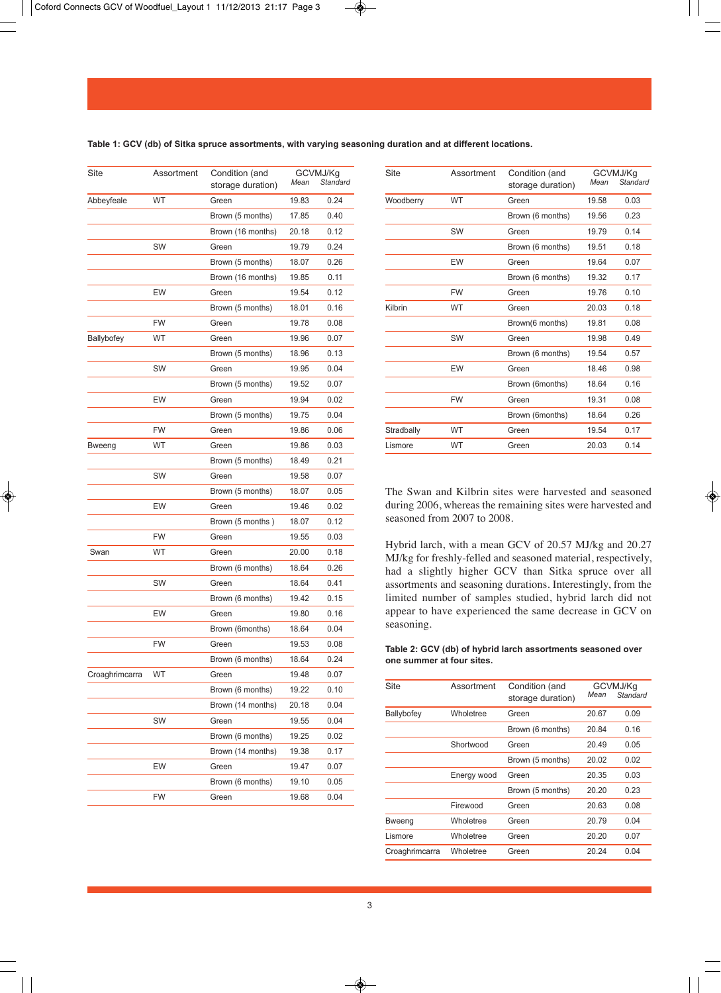|    | out 1 11/12/2013 21:17 Page 3                              |       |                            |           |  |
|----|------------------------------------------------------------|-------|----------------------------|-----------|--|
|    |                                                            |       |                            |           |  |
|    | spruce assortments, with varying seasoning duration and at |       |                            |           |  |
| ıt | Condition (and<br>storage duration)                        | Mean  | GCVMJ/Kg<br>Standard       | Site      |  |
|    | Green                                                      | 19.83 | 0.24                       | Woodberry |  |
|    | Brown (5 months)                                           | 17.85 | 0.40                       |           |  |
|    | Brown (16 months)                                          | 20.18 | 0.12                       |           |  |
|    | $\sim$ $\sim$ $\sim$                                       | 40.70 | 0 <sup>0<sub>1</sub></sup> |           |  |

**Table 1: GCV (db) of Sitka spruce assortments, with varying seasoning duration and at different locations.**

| Site           | Assortment | Condition (and<br>storage duration) | Mean  | GCVMJ/Kg<br>Standard |
|----------------|------------|-------------------------------------|-------|----------------------|
| Abbeyfeale     | <b>WT</b>  | Green                               | 19.83 | 0.24                 |
|                |            | Brown (5 months)                    | 17.85 | 0.40                 |
|                |            | Brown (16 months)                   | 20.18 | 0.12                 |
|                | SW         | Green                               | 19.79 | 0.24                 |
|                |            | Brown (5 months)                    | 18.07 | 0.26                 |
|                |            | Brown (16 months)                   | 19.85 | 0.11                 |
|                | EW         | Green                               | 19.54 | 0.12                 |
|                |            | Brown (5 months)                    | 18.01 | 0.16                 |
|                | FW         | Green                               | 19.78 | 0.08                 |
| Ballybofey     | WT         | Green                               | 19.96 | 0.07                 |
|                |            | Brown (5 months)                    | 18.96 | 0.13                 |
|                | SW         | Green                               | 19.95 | 0.04                 |
|                |            | Brown (5 months)                    | 19.52 | 0.07                 |
|                | EW         | Green                               | 19.94 | 0.02                 |
|                |            | Brown (5 months)                    | 19.75 | 0.04                 |
|                | <b>FW</b>  | Green                               | 19.86 | 0.06                 |
| Bweeng         | <b>WT</b>  | Green                               | 19.86 | 0.03                 |
|                |            | Brown (5 months)                    | 18.49 | 0.21                 |
|                | SW         | Green                               | 19.58 | 0.07                 |
|                |            | Brown (5 months)                    | 18.07 | 0.05                 |
|                | EW         | Green                               | 19.46 | 0.02                 |
|                |            | Brown (5 months)                    | 18.07 | 0.12                 |
|                | <b>FW</b>  | Green                               | 19.55 | 0.03                 |
| Swan           | <b>WT</b>  | Green                               | 20.00 | 0.18                 |
|                |            | Brown (6 months)                    | 18.64 | 0.26                 |
|                | SW         | Green                               | 18.64 | 0.41                 |
|                |            | Brown (6 months)                    | 19.42 | 0.15                 |
|                | EW         | Green                               | 19.80 | 0.16                 |
|                |            | Brown (6months)                     | 18.64 | 0.04                 |
|                | <b>FW</b>  | Green                               | 19.53 | 0.08                 |
|                |            | Brown (6 months)                    | 18.64 | 0.24                 |
| Croaghrimcarra | <b>WT</b>  | Green                               | 19.48 | 0.07                 |
|                |            | Brown (6 months)                    | 19.22 | 0.10                 |
|                |            | Brown (14 months)                   | 20.18 | 0.04                 |
|                | SW         | Green                               | 19.55 | 0.04                 |
|                |            | Brown (6 months)                    | 19.25 | 0.02                 |
|                |            | Brown (14 months)                   | 19.38 | 0.17                 |
|                | EW         | Green                               | 19.47 | 0.07                 |
|                |            | Brown (6 months)                    | 19.10 | 0.05                 |
|                | FW         | Green                               | 19.68 | 0.04                 |

| Site       | Assortment | Condition (and<br>storage duration) | Mean  | GCVMJ/Kg<br>Standard |
|------------|------------|-------------------------------------|-------|----------------------|
| Woodberry  | <b>WT</b>  | Green                               | 19.58 | 0.03                 |
|            |            | Brown (6 months)                    | 19.56 | 0.23                 |
|            | SW         | Green                               | 19.79 | 0.14                 |
|            |            | Brown (6 months)                    | 19.51 | 0.18                 |
|            | EW         | Green                               | 19.64 | 0.07                 |
|            |            | Brown (6 months)                    | 19.32 | 0.17                 |
|            | <b>FW</b>  | Green                               | 19.76 | 0.10                 |
| Kilbrin    | <b>WT</b>  | Green                               | 20.03 | 0.18                 |
|            |            | Brown(6 months)                     | 19.81 | 0.08                 |
|            | SW         | Green                               | 19.98 | 0.49                 |
|            |            | Brown (6 months)                    | 19.54 | 0.57                 |
|            | EW         | Green                               | 18.46 | 0.98                 |
|            |            | Brown (6months)                     | 18.64 | 0.16                 |
|            | <b>FW</b>  | Green                               | 19.31 | 0.08                 |
|            |            | Brown (6months)                     | 18.64 | 0.26                 |
| Stradbally | <b>WT</b>  | Green                               | 19.54 | 0.17                 |
| Lismore    | <b>WT</b>  | Green                               | 20.03 | 0.14                 |
|            |            |                                     |       |                      |

The Swan and Kilbrin sites were harvested and seasoned during 2006, whereas the remaining sites were harvested and seasoned from 2007 to 2008.

Hybrid larch, with a mean GCV of 20.57 MJ/kg and 20.27 MJ/kg for freshly-felled and seasoned material, respectively, had a slightly higher GCV than Sitka spruce over all assortments and seasoning durations. Interestingly, from the limited number of samples studied, hybrid larch did not appear to have experienced the same decrease in GCV on seasoning.

# **Table 2: GCV (db) of hybrid larch assortments seasoned over one summer at four sites.**

| <b>Site</b>    | Assortment  | Condition (and    |       | GCVMJ/Kq |  |
|----------------|-------------|-------------------|-------|----------|--|
|                |             | storage duration) | Mean  | Standard |  |
| Ballybofey     | Wholetree   | Green             | 20.67 | 0.09     |  |
|                |             | Brown (6 months)  | 20.84 | 0.16     |  |
|                | Shortwood   | Green             | 20.49 | 0.05     |  |
|                |             | Brown (5 months)  | 20.02 | 0.02     |  |
|                | Energy wood | Green             | 20.35 | 0.03     |  |
|                |             | Brown (5 months)  | 20.20 | 0.23     |  |
|                | Firewood    | Green             | 20.63 | 0.08     |  |
| <b>Bweeng</b>  | Wholetree   | Green             | 20.79 | 0.04     |  |
| Lismore        | Wholetree   | Green             | 20.20 | 0.07     |  |
| Croaghrimcarra | Wholetree   | Green             | 20.24 | 0.04     |  |

❀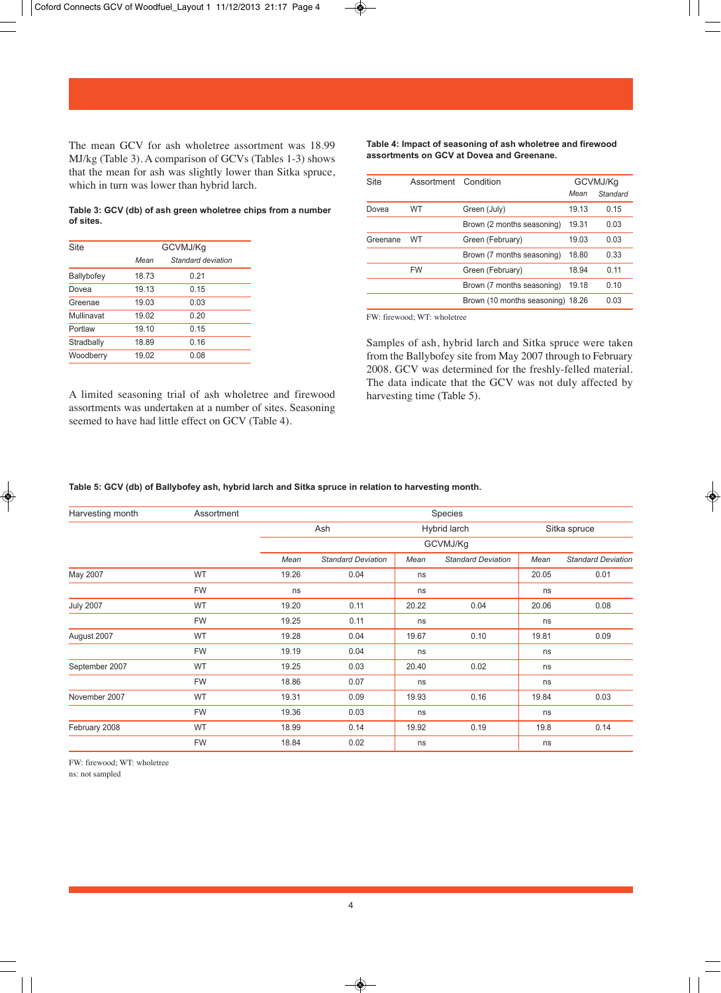

The mean GCV for ash wholetree assortment was 18.99 MJ/kg (Table 3). A comparison of GCVs (Tables 1-3) shows that the mean for ash was slightly lower than Sitka spruce, which in turn was lower than hybrid larch.

**Table 3: GCV (db) of ash green wholetree chips from a number of sites.** 

| GCVMJ/Kq           |  |  |  |
|--------------------|--|--|--|
| Standard deviation |  |  |  |
| 0.21               |  |  |  |
| 0.15               |  |  |  |
| 0.03               |  |  |  |
| 0.20               |  |  |  |
| 0.15               |  |  |  |
| 0.16               |  |  |  |
| 0.08               |  |  |  |
|                    |  |  |  |

A limited seasoning trial of ash wholetree and firewood assortments was undertaken at a number of sites. Seasoning seemed to have had little effect on GCV (Table 4).

**Table 4: Impact of seasoning of ash wholetree and firewood assortments on GCV at Dovea and Greenane.** 

| <b>Site</b> | Assortment | Condition                         |       | GCVMJ/Kq |  |
|-------------|------------|-----------------------------------|-------|----------|--|
|             |            |                                   | Mean  | Standard |  |
| Dovea       | WT         | Green (July)                      | 19.13 | 0.15     |  |
|             |            | Brown (2 months seasoning)        | 19.31 | 0.03     |  |
| Greenane    | WT         | Green (February)                  | 19.03 | 0.03     |  |
|             |            | Brown (7 months seasoning)        | 18.80 | 0.33     |  |
|             | <b>FW</b>  | Green (February)                  | 18.94 | 0.11     |  |
|             |            | Brown (7 months seasoning)        | 19.18 | 0.10     |  |
|             |            | Brown (10 months seasoning) 18.26 |       | 0.03     |  |
|             |            |                                   |       |          |  |

FW: firewood; WT: wholetree

Samples of ash, hybrid larch and Sitka spruce were taken from the Ballybofey site from May 2007 through to February 2008. GCV was determined for the freshly-felled material. The data indicate that the GCV was not duly affected by harvesting time (Table 5).

# **Table 5: GCV (db) of Ballybofey ash, hybrid larch and Sitka spruce in relation to harvesting month.**

| Harvesting month | Assortment |       |                           |              | Species                   |       |                           |  |
|------------------|------------|-------|---------------------------|--------------|---------------------------|-------|---------------------------|--|
|                  |            | Ash   |                           | Hybrid larch |                           |       | Sitka spruce              |  |
|                  |            |       | GCVMJ/Kg                  |              |                           |       |                           |  |
|                  |            | Mean  | <b>Standard Deviation</b> | Mean         | <b>Standard Deviation</b> | Mean  | <b>Standard Deviation</b> |  |
| May 2007         | WT         | 19.26 | 0.04                      | ns           |                           | 20.05 | 0.01                      |  |
|                  | <b>FW</b>  | ns    |                           | ns           |                           | ns    |                           |  |
| <b>July 2007</b> | WT         | 19.20 | 0.11                      | 20.22        | 0.04                      | 20.06 | 0.08                      |  |
|                  | <b>FW</b>  | 19.25 | 0.11                      | ns           |                           | ns    |                           |  |
| August 2007      | WT         | 19.28 | 0.04                      | 19.67        | 0.10                      | 19.81 | 0.09                      |  |
|                  | <b>FW</b>  | 19.19 | 0.04                      | ns           |                           | ns    |                           |  |
| September 2007   | WT         | 19.25 | 0.03                      | 20.40        | 0.02                      | ns    |                           |  |
|                  | <b>FW</b>  | 18.86 | 0.07                      | ns           |                           | ns    |                           |  |
| November 2007    | WT         | 19.31 | 0.09                      | 19.93        | 0.16                      | 19.84 | 0.03                      |  |
|                  | <b>FW</b>  | 19.36 | 0.03                      | ns           |                           | ns    |                           |  |
| February 2008    | WT         | 18.99 | 0.14                      | 19.92        | 0.19                      | 19.8  | 0.14                      |  |
|                  | <b>FW</b>  | 18.84 | 0.02                      | ns           |                           | ns    |                           |  |

FW: firewood; WT: wholetree ns: not sampled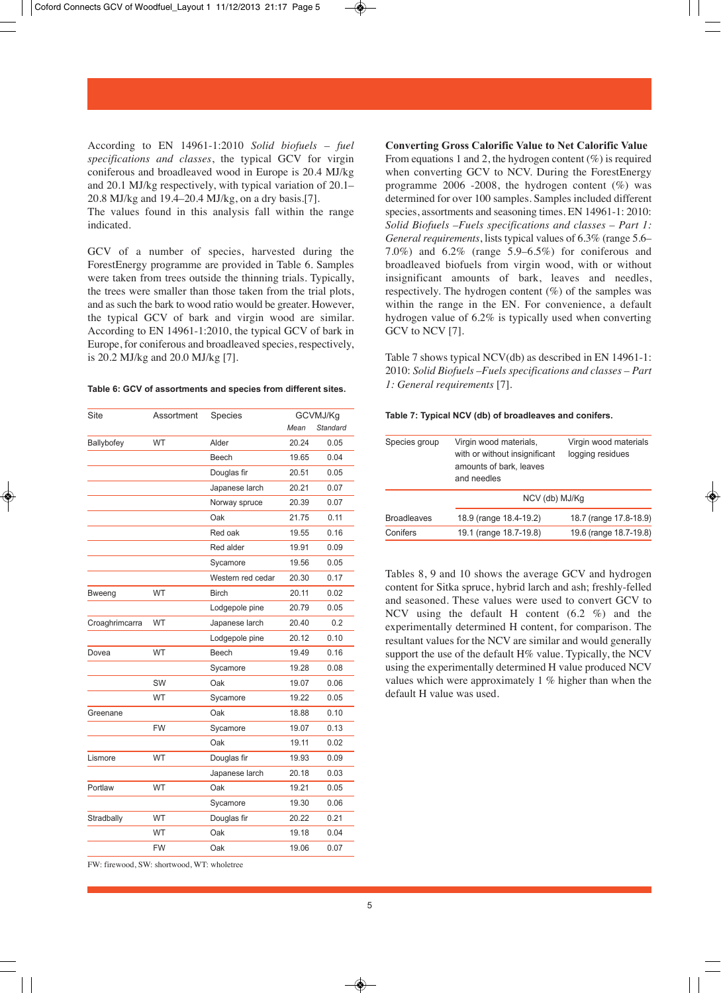According to EN 14961-1:2010 *Solid biofuels – fuel specifications and classes*, the typical GCV for virgin coniferous and broadleaved wood in Europe is 20.4 MJ/kg and 20.1 MJ/kg respectively, with typical variation of 20.1– 20.8 MJ/kg and 19.4–20.4 MJ/kg, on a dry basis.[7].

The values found in this analysis fall within the range indicated.

GCV of a number of species, harvested during the ForestEnergy programme are provided in Table 6. Samples were taken from trees outside the thinning trials. Typically, the trees were smaller than those taken from the trial plots, and as such the bark to wood ratio would be greater. However, the typical GCV of bark and virgin wood are similar. According to EN 14961-1:2010, the typical GCV of bark in Europe, for coniferous and broadleaved species, respectively, is 20.2 MJ/kg and 20.0 MJ/kg [7].

#### **Table 6: GCV of assortments and species from different sites.**

| Site           | Assortment | Species           |       | GCVMJ/Kg |
|----------------|------------|-------------------|-------|----------|
|                |            |                   | Mean  | Standard |
| Ballybofey     | <b>WT</b>  | Alder             | 20.24 | 0.05     |
|                |            | Beech             | 19.65 | 0.04     |
|                |            | Douglas fir       | 20.51 | 0.05     |
|                |            | Japanese larch    | 20.21 | 0.07     |
|                |            | Norway spruce     | 20.39 | 0.07     |
|                |            | Oak               | 21.75 | 0.11     |
|                |            | Red oak           | 19.55 | 0.16     |
|                |            | Red alder         | 19.91 | 0.09     |
|                |            | Sycamore          | 19.56 | 0.05     |
|                |            | Western red cedar | 20.30 | 0.17     |
| Bweeng         | <b>WT</b>  | <b>Birch</b>      | 20.11 | 0.02     |
|                |            | Lodgepole pine    | 20.79 | 0.05     |
| Croaghrimcarra | <b>WT</b>  | Japanese larch    | 20.40 | 0.2      |
|                |            | Lodgepole pine    | 20.12 | 0.10     |
| Dovea          | <b>WT</b>  | Beech             | 19.49 | 0.16     |
|                |            | Sycamore          | 19.28 | 0.08     |
|                | SW         | Oak               | 19.07 | 0.06     |
|                | <b>WT</b>  | Sycamore          | 19.22 | 0.05     |
| Greenane       |            | Oak               | 18.88 | 0.10     |
|                | <b>FW</b>  | Sycamore          | 19.07 | 0.13     |
|                |            | Oak               | 19.11 | 0.02     |
| Lismore        | <b>WT</b>  | Douglas fir       | 19.93 | 0.09     |
|                |            | Japanese larch    | 20.18 | 0.03     |
| Portlaw        | <b>WT</b>  | Oak               | 19.21 | 0.05     |
|                |            | Sycamore          | 19.30 | 0.06     |
| Stradbally     | <b>WT</b>  | Douglas fir       | 20.22 | 0.21     |
|                | <b>WT</b>  | Oak               | 19.18 | 0.04     |
|                | <b>FW</b>  | Oak               | 19.06 | 0.07     |
|                |            |                   |       |          |

FW: firewood, SW: shortwood, WT: wholetree

From equations 1 and 2, the hydrogen content  $(\%)$  is required when converting GCV to NCV. During the ForestEnergy programme  $2006 - 2008$ , the hydrogen content  $(\%)$  was determined for over 100 samples. Samples included different species, assortments and seasoning times. EN 14961-1: 2010: *Solid Biofuels –Fuels specifications and classes* – *Part 1: General requirements*, lists typical values of 6.3% (range 5.6– 7.0%) and 6.2% (range 5.9–6.5%) for coniferous and broadleaved biofuels from virgin wood, with or without insignificant amounts of bark, leaves and needles, respectively. The hydrogen content (%) of the samples was within the range in the EN. For convenience, a default hydrogen value of 6.2% is typically used when converting GCV to NCV [7].

Table 7 shows typical NCV(db) as described in EN 14961-1: 2010: *Solid Biofuels –Fuels specifications and classes – Part 1: General requirements* [7].

#### **Table 7: Typical NCV (db) of broadleaves and conifers.**

| Species group      | Virgin wood materials,<br>with or without insignificant<br>amounts of bark, leaves<br>and needles | Virgin wood materials<br>logging residues |
|--------------------|---------------------------------------------------------------------------------------------------|-------------------------------------------|
|                    | NCV (db) MJ/Kq                                                                                    |                                           |
| <b>Broadleaves</b> | 18.9 (range 18.4-19.2)                                                                            | 18.7 (range 17.8-18.9)                    |
| Conifers           | 19.1 (range 18.7-19.8)                                                                            | 19.6 (range 18.7-19.8)                    |

Tables 8, 9 and 10 shows the average GCV and hydrogen content for Sitka spruce, hybrid larch and ash; freshly-felled and seasoned. These values were used to convert GCV to NCV using the default H content (6.2 %) and the experimentally determined H content, for comparison. The resultant values for the NCV are similar and would generally support the use of the default  $H\%$  value. Typically, the NCV using the experimentally determined H value produced NCV values which were approximately 1 % higher than when the default H value was used.

❀

# **Converting Gross Calorific Value to Net Calorific Value**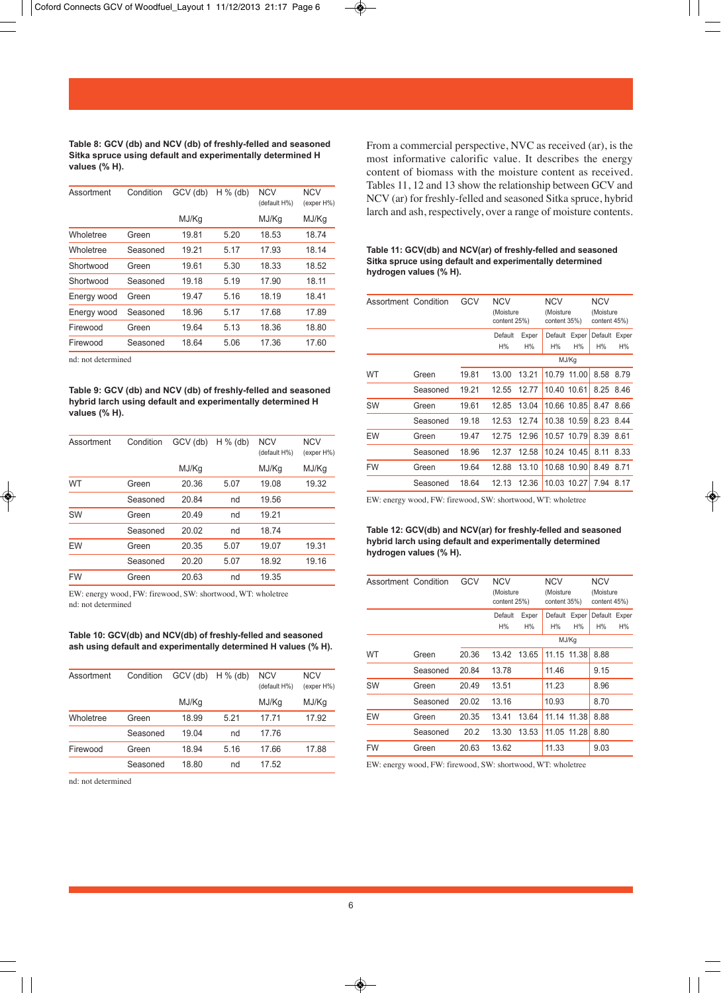**Table 8: GCV (db) and NCV (db) of freshly-felled and seasoned Sitka spruce using default and experimentally determined H values (% H).** 

| Assortment  | Condition | GCV (db) | $H%$ (db) | <b>NCV</b><br>(default H%) | <b>NCV</b><br>(exper H%) |
|-------------|-----------|----------|-----------|----------------------------|--------------------------|
|             |           | MJ/Kg    |           | MJ/Kg                      | MJ/Kg                    |
| Wholetree   | Green     | 19.81    | 5.20      | 18.53                      | 18.74                    |
| Wholetree   | Seasoned  | 19.21    | 5.17      | 17.93                      | 18.14                    |
| Shortwood   | Green     | 19.61    | 5.30      | 18.33                      | 18.52                    |
| Shortwood   | Seasoned  | 19.18    | 5.19      | 17.90                      | 18.11                    |
| Energy wood | Green     | 19.47    | 5.16      | 18.19                      | 18.41                    |
| Energy wood | Seasoned  | 18.96    | 5.17      | 17.68                      | 17.89                    |
| Firewood    | Green     | 19.64    | 5.13      | 18.36                      | 18.80                    |
| Firewood    | Seasoned  | 18.64    | 5.06      | 17.36                      | 17.60                    |

nd: not determined

**Table 9: GCV (db) and NCV (db) of freshly-felled and seasoned hybrid larch using default and experimentally determined H values (% H).** 

| Assortment | Condition | GCV (db) | $H%$ (db) | <b>NCV</b><br>(default H%) | <b>NCV</b><br>(exper H%) |
|------------|-----------|----------|-----------|----------------------------|--------------------------|
|            |           | MJ/Kg    |           | MJ/Kg                      | MJ/Kg                    |
| WT         | Green     | 20.36    | 5.07      | 19.08                      | 19.32                    |
|            | Seasoned  | 20.84    | nd        | 19.56                      |                          |
| SW         | Green     | 20.49    | nd        | 19.21                      |                          |
|            | Seasoned  | 20.02    | nd        | 18.74                      |                          |
| EW         | Green     | 20.35    | 5.07      | 19.07                      | 19.31                    |
|            | Seasoned  | 20.20    | 5.07      | 18.92                      | 19.16                    |
| <b>FW</b>  | Green     | 20.63    | nd        | 19.35                      |                          |

EW: energy wood, FW: firewood, SW: shortwood, WT: wholetree nd: not determined

**Table 10: GCV(db) and NCV(db) of freshly-felled and seasoned ash using default and experimentally determined H values (% H).**

| Assortment | Condition | GCV (db) | $H%$ (db) | <b>NCV</b><br>(default H%) | <b>NCV</b><br>(exper H%) |
|------------|-----------|----------|-----------|----------------------------|--------------------------|
|            |           | MJ/Kg    |           | MJ/Kg                      | MJ/Kg                    |
| Wholetree  | Green     | 18.99    | 5.21      | 17.71                      | 17.92                    |
|            | Seasoned  | 19.04    | nd        | 17.76                      |                          |
| Firewood   | Green     | 18.94    | 5.16      | 17.66                      | 17.88                    |
|            | Seasoned  | 18.80    | nd        | 17.52                      |                          |

nd: not determined

From a commercial perspective, NVC as received (ar), is the most informative calorific value. It describes the energy content of biomass with the moisture content as received. Tables 11, 12 and 13 show the relationship between GCV and NCV (ar) for freshly-felled and seasoned Sitka spruce, hybrid larch and ash, respectively, over a range of moisture contents.

### **Table 11: GCV(db) and NCV(ar) of freshly-felled and seasoned Sitka spruce using default and experimentally determined hydrogen values (% H).**

| Assortment Condition |          | GCV   | <b>NCV</b><br>(Moisture<br>content 25%) |             | <b>NCV</b><br>(Moisture<br>content 35%) |             | <b>NCV</b><br>(Moisture<br>content 45%) |             |  |
|----------------------|----------|-------|-----------------------------------------|-------------|-----------------------------------------|-------------|-----------------------------------------|-------------|--|
|                      |          |       | Default<br>H%                           | Exper<br>H% | Default<br>H%                           | Exper<br>H% | Default<br>H%                           | Exper<br>H% |  |
|                      |          |       |                                         |             |                                         | MJ/Kg       |                                         |             |  |
| WT                   | Green    | 19.81 | 13.00                                   | 13.21       | 10.79                                   | 11.00       | 8.58                                    | 8.79        |  |
|                      | Seasoned | 19.21 | 12.55                                   | 12.77       | 10.40 10.61                             |             | 8.25 8.46                               |             |  |
| SW                   | Green    | 19.61 | 12.85                                   | 13.04       |                                         | 10.66 10.85 | 8.47                                    | 8.66        |  |
|                      | Seasoned | 19.18 | 12.53                                   | 12.74       |                                         | 10.38 10.59 | 8.23 8.44                               |             |  |
| EW                   | Green    | 19.47 | 12.75                                   | 12.96       |                                         | 10.57 10.79 | 8.39                                    | 8.61        |  |
|                      | Seasoned | 18.96 | 12.37                                   | 12.58       |                                         | 10.24 10.45 | 8.11                                    | 8.33        |  |
| <b>FW</b>            | Green    | 19.64 | 12.88                                   | 13.10       |                                         | 10.68 10.90 | 8.49                                    | 8.71        |  |
|                      | Seasoned | 18.64 | 12.13                                   | 12.36       |                                         | 10.03 10.27 | 7.94                                    | 8.17        |  |

EW: energy wood, FW: firewood, SW: shortwood, WT: wholetree

# **Table 12: GCV(db) and NCV(ar) for freshly-felled and seasoned hybrid larch using default and experimentally determined hydrogen values (% H).**

| Assortment Condition |          | GCV   | <b>NCV</b><br>(Moisture<br>content 25%) |             | <b>NCV</b><br>(Moisture<br>content 35%) |             | <b>NCV</b><br>(Moisture<br>content 45%) |    |
|----------------------|----------|-------|-----------------------------------------|-------------|-----------------------------------------|-------------|-----------------------------------------|----|
|                      |          |       | Default<br>H%                           | Exper<br>H% | Default<br>H%                           | Exper<br>H% | Default Exper<br>H%                     | H% |
|                      |          |       |                                         |             | MJ/Kg                                   |             |                                         |    |
| WT                   | Green    | 20.36 | 13.42                                   | 13.65       | 11.15 11.38                             |             | 8.88                                    |    |
|                      | Seasoned | 20.84 | 13.78                                   |             | 11.46                                   |             | 9.15                                    |    |
| SW                   | Green    | 20.49 | 13.51                                   |             | 11.23                                   |             | 8.96                                    |    |
|                      | Seasoned | 20.02 | 13.16                                   |             | 10.93                                   |             | 8.70                                    |    |
| EW                   | Green    | 20.35 | 13.41                                   | 13.64       | 11.14                                   | 11.38       | 8.88                                    |    |
|                      | Seasoned | 20.2  | 13.30                                   | 13.53       | 11.05 11.28                             |             | 8.80                                    |    |
| <b>FW</b>            | Green    | 20.63 | 13.62                                   |             | 11.33                                   |             | 9.03                                    |    |

EW: energy wood, FW: firewood, SW: shortwood, WT: wholetree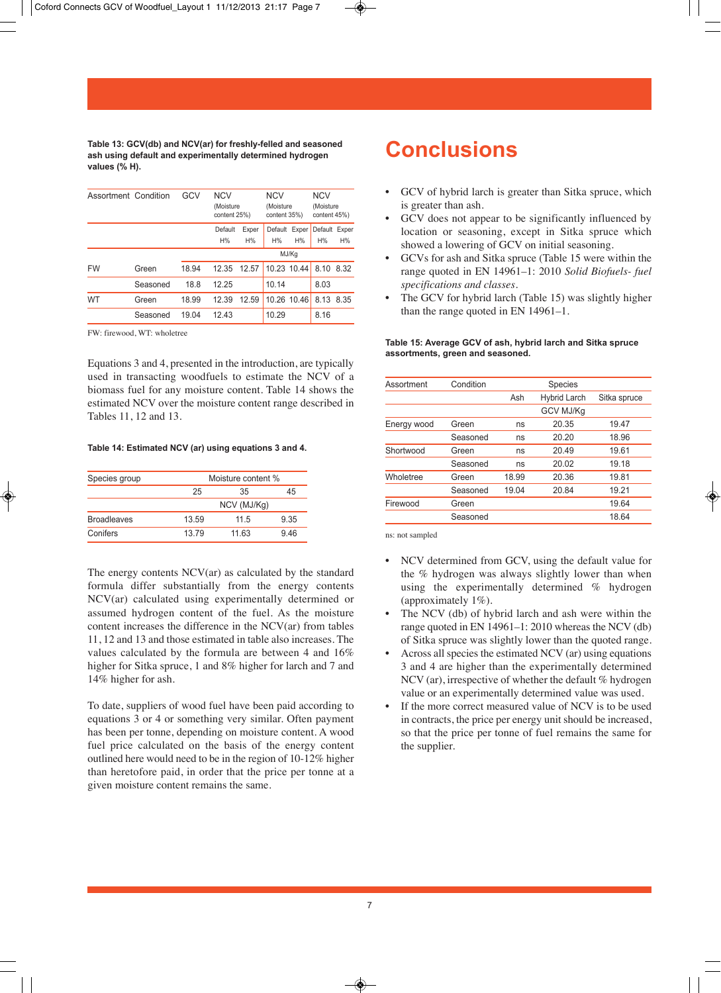**Table 13: GCV(db) and NCV(ar) for freshly-felled and seasoned ash using default and experimentally determined hydrogen values (% H).**

| Assortment Condition |          | GCV   | <b>NCV</b><br>(Moisture<br>content 25%) |             | <b>NCV</b><br>(Moisture<br>content 35%) |       | <b>NCV</b><br>(Moisture<br>content 45%) |      |
|----------------------|----------|-------|-----------------------------------------|-------------|-----------------------------------------|-------|-----------------------------------------|------|
|                      |          |       | Default<br>H%                           | Exper<br>H% | Default Exper<br>H%                     | H%    | Default Exper<br>H%                     | H%   |
|                      |          |       |                                         |             |                                         | MJ/Kg |                                         |      |
| <b>FW</b>            | Green    | 18.94 | 12.35                                   | 12.57       | 10.23 10.44                             |       | 8.10                                    | 8.32 |
|                      | Seasoned | 18.8  | 12.25                                   |             | 10.14                                   |       | 8.03                                    |      |
| WT                   | Green    | 18.99 | 12.39                                   | 12.59       | 10.26 10.46                             |       | 8.13                                    | 8.35 |
|                      | Seasoned | 19.04 | 12.43                                   |             | 10.29                                   |       | 8.16                                    |      |

FW: firewood, WT: wholetree

Equations 3 and 4, presented in the introduction, are typically used in transacting woodfuels to estimate the NCV of a biomass fuel for any moisture content. Table 14 shows the estimated NCV over the moisture content range described in Tables 11, 12 and 13.

### **Table 14: Estimated NCV (ar) using equations 3 and 4.**

| Species group      |       | Moisture content % |      |  |  |
|--------------------|-------|--------------------|------|--|--|
|                    | 25    | 35                 | 45   |  |  |
|                    |       | NCV (MJ/Kg)        |      |  |  |
| <b>Broadleaves</b> | 13.59 | 11.5               | 9.35 |  |  |
| Conifers           | 1379  | 11.63              | 946  |  |  |

The energy contents NCV(ar) as calculated by the standard formula differ substantially from the energy contents NCV(ar) calculated using experimentally determined or assumed hydrogen content of the fuel. As the moisture content increases the difference in the NCV(ar) from tables 11, 12 and 13 and those estimated in table also increases. The values calculated by the formula are between 4 and 16% higher for Sitka spruce, 1 and 8% higher for larch and 7 and 14% higher for ash.

To date, suppliers of wood fuel have been paid according to equations 3 or 4 or something very similar. Often payment has been per tonne, depending on moisture content. A wood fuel price calculated on the basis of the energy content outlined here would need to be in the region of 10-12% higher than heretofore paid, in order that the price per tonne at a given moisture content remains the same.

# **Conclusions**

- GCV of hybrid larch is greater than Sitka spruce, which is greater than ash.
- GCV does not appear to be significantly influenced by location or seasoning, except in Sitka spruce which showed a lowering of GCV on initial seasoning.
- GCVs for ash and Sitka spruce (Table 15 were within the range quoted in EN 14961–1: 2010 *Solid Biofuels- fuel specifications and classes*.
- The GCV for hybrid larch (Table 15) was slightly higher than the range quoted in EN 14961–1.

**Table 15: Average GCV of ash, hybrid larch and Sitka spruce assortments, green and seasoned.** 

| Assortment  | Condition |       | Species             |              |
|-------------|-----------|-------|---------------------|--------------|
|             |           | Ash   | <b>Hybrid Larch</b> | Sitka spruce |
|             |           |       | <b>GCV MJ/Kg</b>    |              |
| Energy wood | Green     | ns    | 20.35               | 19.47        |
|             | Seasoned  | ns    | 20.20               | 18.96        |
| Shortwood   | Green     | ns    | 20.49               | 19.61        |
|             | Seasoned  | ns    | 20.02               | 19.18        |
| Wholetree   | Green     | 18.99 | 20.36               | 19.81        |
|             | Seasoned  | 19.04 | 20.84               | 19.21        |
| Firewood    | Green     |       |                     | 19.64        |
|             | Seasoned  |       |                     | 18.64        |

ns: not sampled

- NCV determined from GCV, using the default value for the % hydrogen was always slightly lower than when using the experimentally determined % hydrogen (approximately 1%).
- The NCV (db) of hybrid larch and ash were within the range quoted in EN 14961–1: 2010 whereas the NCV (db) of Sitka spruce was slightly lower than the quoted range.
- Across all species the estimated NCV (ar) using equations 3 and 4 are higher than the experimentally determined NCV (ar), irrespective of whether the default % hydrogen value or an experimentally determined value was used.
- If the more correct measured value of NCV is to be used in contracts, the price per energy unit should be increased, so that the price per tonne of fuel remains the same for the supplier.